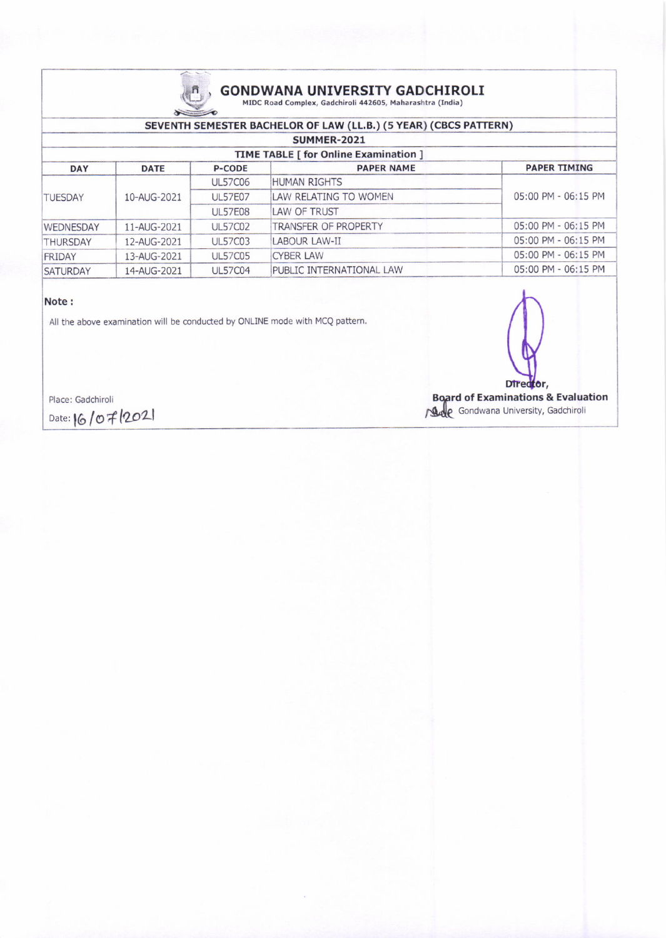

## **GONDWANA UNIVERSITY GADCHIROLI** MIDC Road Complex, Gadchiroli 442605, Maharashtra (India)

### SEVENTH SEMESTER BACHELOR OF LAW (LL.B.) (5 YEAR) (CBCS PATTERN)

|                 | SUMMER-2021                                  |                |                                 |                     |  |  |  |
|-----------------|----------------------------------------------|----------------|---------------------------------|---------------------|--|--|--|
|                 | <b>TIME TABLE [ for Online Examination ]</b> |                |                                 |                     |  |  |  |
| <b>DAY</b>      | <b>DATE</b>                                  | <b>P-CODE</b>  | <b>PAPER NAME</b>               | <b>PAPER TIMING</b> |  |  |  |
|                 |                                              | <b>UL57C06</b> | <b>HUMAN RIGHTS</b>             |                     |  |  |  |
| <b>TUESDAY</b>  | 10-AUG-2021                                  | <b>UL57E07</b> | LAW RELATING TO WOMEN           | 05:00 PM - 06:15 PM |  |  |  |
|                 |                                              | <b>UL57E08</b> | LAW OF TRUST                    |                     |  |  |  |
| WEDNESDAY       | 11-AUG-2021                                  | <b>UL57C02</b> | TRANSFER OF PROPERTY            | 05:00 PM - 06:15 PM |  |  |  |
| <b>THURSDAY</b> | 12-AUG-2021                                  | <b>UL57C03</b> | LABOUR LAW-II                   | 05:00 PM - 06:15 PM |  |  |  |
| <b>FRIDAY</b>   | 13-AUG-2021                                  | <b>UL57C05</b> | <b>CYBER LAW</b>                | 05:00 PM - 06:15 PM |  |  |  |
| <b>SATURDAY</b> | 14-AUG-2021                                  | <b>UL57C04</b> | <b>PUBLIC INTERNATIONAL LAW</b> | 05:00 PM - 06:15 PM |  |  |  |
|                 |                                              |                |                                 |                     |  |  |  |

### Note:

All the above examination will be conducted by ONLINE mode with MCQ pattern.



Place: Gadchiroli

Date: 16/07/2021

Board of Examinations & Evaluation<br>
And Gondwana University, Gadchiroli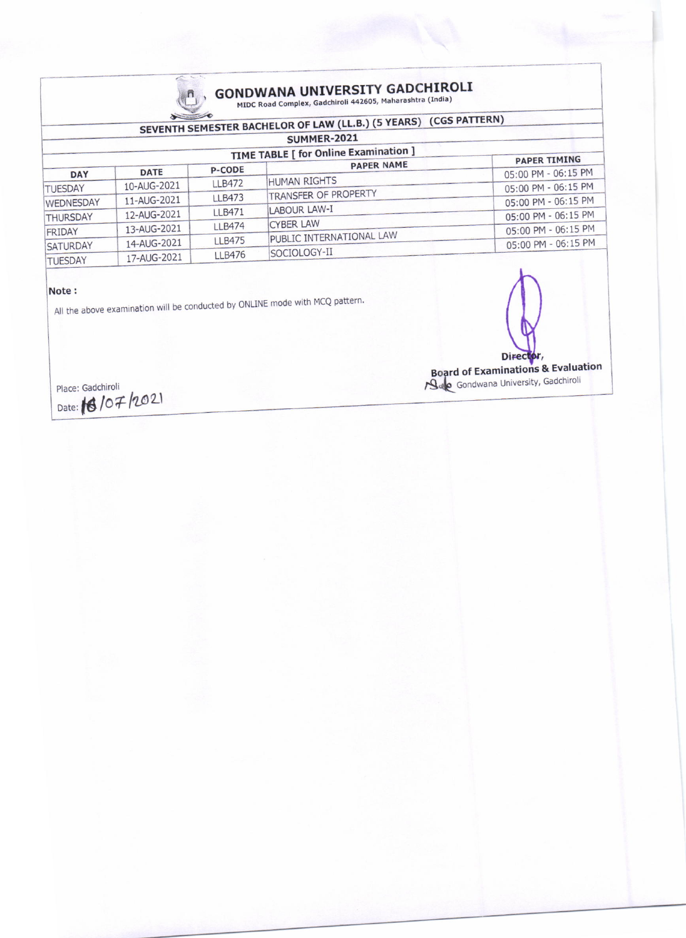

# **GONDWANA UNIVERSITY GADCHIROLI**<br>MIDC Road Complex, Gadchiroli 442605, Maharashtra (India)

|                  |             |               | SEVENTH SEMESTER BACHELOR OF LAW (LL.B.) (5 YEARS) (CGS PATTERN)<br><b>SUMMER-2021</b> |                     |
|------------------|-------------|---------------|----------------------------------------------------------------------------------------|---------------------|
|                  |             |               | <b>TIME TABLE [ for Online Examination ]</b>                                           | <b>PAPER TIMING</b> |
| <b>DAY</b>       | <b>DATE</b> | <b>P-CODE</b> | <b>PAPER NAME</b>                                                                      | 05:00 PM - 06:15 PM |
|                  | 10-AUG-2021 | <b>LLB472</b> | HUMAN RIGHTS                                                                           | 05:00 PM - 06:15 PM |
| <b>TUESDAY</b>   | 11-AUG-2021 | <b>LLB473</b> | TRANSFER OF PROPERTY                                                                   | 05:00 PM - 06:15 PM |
| <b>WEDNESDAY</b> | 12-AUG-2021 | <b>LLB471</b> | <b>LABOUR LAW-I</b>                                                                    |                     |
| THURSDAY         |             | <b>LLB474</b> | <b>CYBER LAW</b>                                                                       | 05:00 PM - 06:15 PM |
| FRIDAY           | 13-AUG-2021 |               | PUBLIC INTERNATIONAL LAW                                                               | 05:00 PM - 06:15 PM |
| SATURDAY         | 14-AUG-2021 | <b>LLB475</b> |                                                                                        | 05:00 PM - 06:15 PM |
| <b>TUESDAY</b>   | 17-AUG-2021 | <b>LLB476</b> | SOCIOLOGY-II                                                                           |                     |

#### Note:

All the above examination will be conducted by ONLINE mode with MCQ pattern.

Director,

Board of Examinations & Evaluation

Place: Gadchiroli Date: 16/07/2021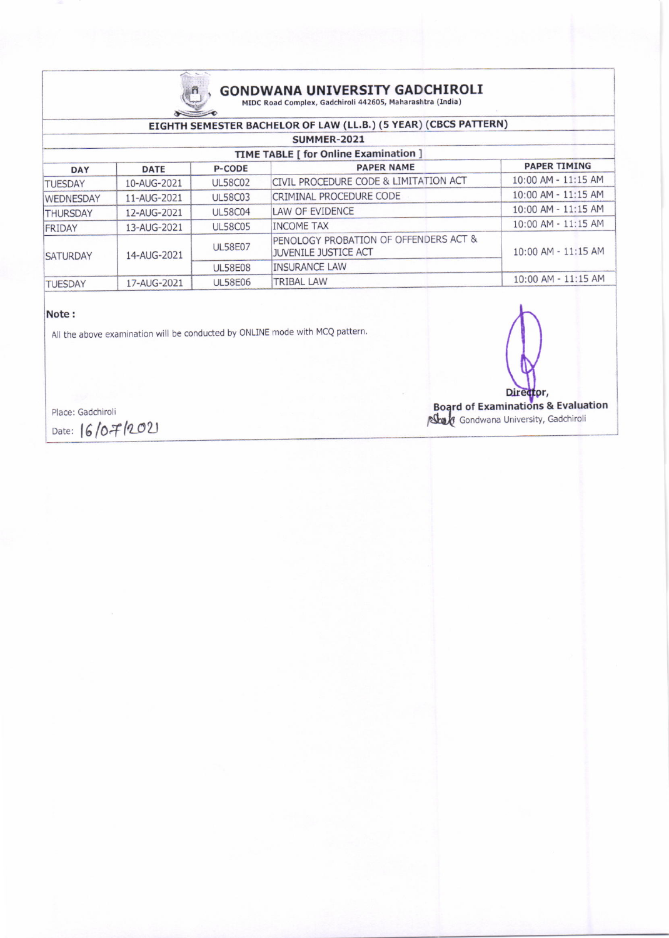

# $\textbf{GONDWANA}\text{ UNIVERSITY GADCHIROLI}\\ \textbf{MIDC Road Complex, Gaddchiroli 442605, Maharashtra (India)}$

### EIGHTH SEMESTER BACHELOR OF LAW (LL.B.) (5 YEAR) (CBCS PATTERN)

| SUMMER-2021                           |                |                                                                      |                     |  |  |  |  |  |
|---------------------------------------|----------------|----------------------------------------------------------------------|---------------------|--|--|--|--|--|
| TIME TABLE [ for Online Examination ] |                |                                                                      |                     |  |  |  |  |  |
| <b>DATE</b>                           | <b>P-CODE</b>  | <b>PAPER NAME</b>                                                    | <b>PAPER TIMING</b> |  |  |  |  |  |
| 10-AUG-2021                           | <b>UL58C02</b> | CIVIL PROCEDURE CODE & LIMITATION ACT                                | 10:00 AM - 11:15 AM |  |  |  |  |  |
| 11-AUG-2021                           | <b>UL58C03</b> | CRIMINAL PROCEDURE CODE                                              | 10:00 AM - 11:15 AM |  |  |  |  |  |
| 12-AUG-2021                           | <b>UL58C04</b> | LAW OF EVIDENCE                                                      | 10:00 AM - 11:15 AM |  |  |  |  |  |
| 13-AUG-2021                           | <b>UL58C05</b> | <b>INCOME TAX</b>                                                    | 10:00 AM - 11:15 AM |  |  |  |  |  |
| 14-AUG-2021                           | <b>UL58E07</b> | PENOLOGY PROBATION OF OFFENDERS ACT &<br><b>JUVENILE JUSTICE ACT</b> | 10:00 AM - 11:15 AM |  |  |  |  |  |
|                                       | <b>UL58E08</b> | <b>INSURANCE LAW</b>                                                 |                     |  |  |  |  |  |
| 17-AUG-2021                           | <b>UL58E06</b> | <b>TRIBAL LAW</b>                                                    | 10:00 AM - 11:15 AM |  |  |  |  |  |
|                                       |                |                                                                      |                     |  |  |  |  |  |

### Note:

All the above examination will be conducted by ONLINE mode with MCQ pattern.

Director,

Board of Examinations & Evaluation

Place: Gadchiroli

Date: 16/07/2021